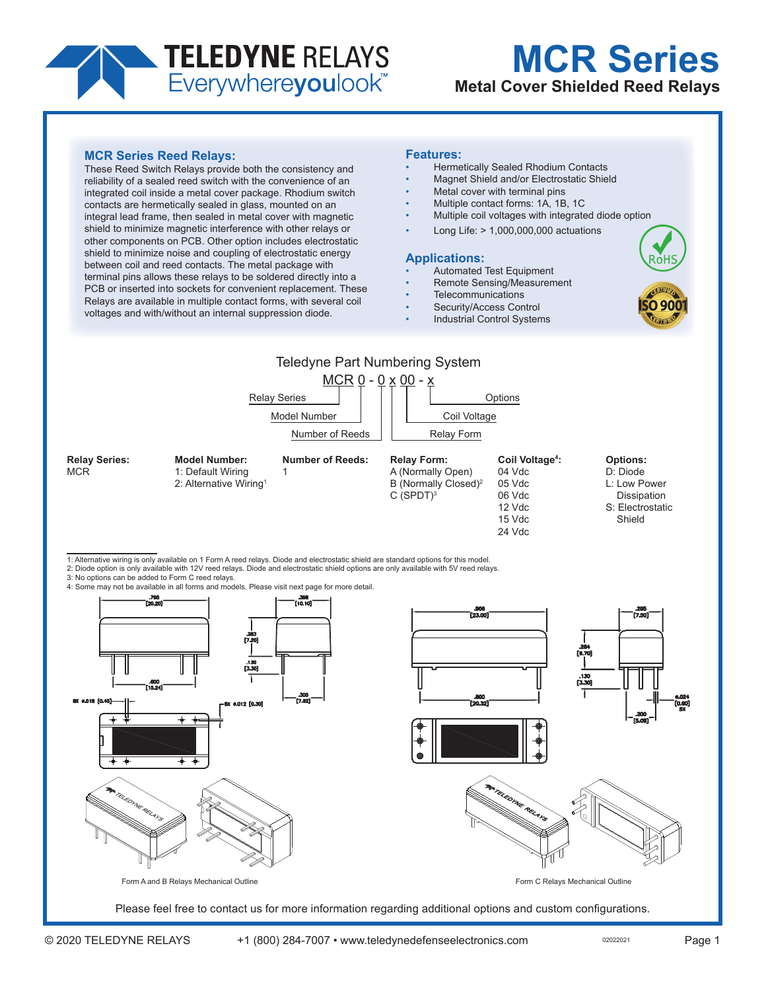

## **MCR Series Metal Cover Shielded Reed Relays**

### **MCR Series Reed Relays:**

These Reed Switch Relays provide both the consistency and reliability of a sealed reed switch with the convenience of an integrated coil inside a metal cover package. Rhodium switch contacts are hermetically sealed in glass, mounted on an integral lead frame, then sealed in metal cover with magnetic shield to minimize magnetic interference with other relays or other components on PCB. Other option includes electrostatic shield to minimize noise and coupling of electrostatic energy between coil and reed contacts. The metal package with terminal pins allows these relays to be soldered directly into a PCB or inserted into sockets for convenient replacement. These Relays are available in multiple contact forms, with several coil voltages and with/without an internal suppression diode.

#### **Features:**

- Hermetically Sealed Rhodium Contacts
- Magnet Shield and/or Electrostatic Shield
- Metal cover with terminal pins
- Multiple contact forms: 1A, 1B, 1C
- Multiple coil voltages with integrated diode option
- Long Life: > 1,000,000,000 actuations

#### **Applications:**

- Automated Test Equipment
- Remote Sensing/Measurement
- Telecommunications
- Security/Access Control
- Industrial Control Systems